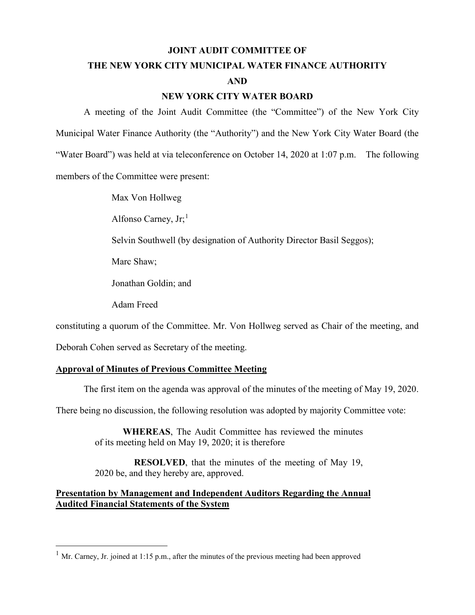#### **JOINT AUDIT COMMITTEE OF**

## **THE NEW YORK CITY MUNICIPAL WATER FINANCE AUTHORITY AND**

#### **NEW YORK CITY WATER BOARD**

A meeting of the Joint Audit Committee (the "Committee") of the New York City Municipal Water Finance Authority (the "Authority") and the New York City Water Board (the "Water Board") was held at via teleconference on October 14, 2020 at 1:07 p.m. The following members of the Committee were present:

Max Von Hollweg

Alfonso Carney,  $Jr<sub>i</sub>$ <sup>[1](#page-0-0)</sup>

Selvin Southwell (by designation of Authority Director Basil Seggos);

Marc Shaw;

Jonathan Goldin; and

Adam Freed

constituting a quorum of the Committee. Mr. Von Hollweg served as Chair of the meeting, and

Deborah Cohen served as Secretary of the meeting.

### **Approval of Minutes of Previous Committee Meeting**

The first item on the agenda was approval of the minutes of the meeting of May 19, 2020.

There being no discussion, the following resolution was adopted by majority Committee vote:

**WHEREAS**, The Audit Committee has reviewed the minutes of its meeting held on May 19, 2020; it is therefore

**RESOLVED**, that the minutes of the meeting of May 19, 2020 be, and they hereby are, approved.

## **Presentation by Management and Independent Auditors Regarding the Annual Audited Financial Statements of the System**

<span id="page-0-0"></span> $1$  Mr. Carney, Jr. joined at 1:15 p.m., after the minutes of the previous meeting had been approved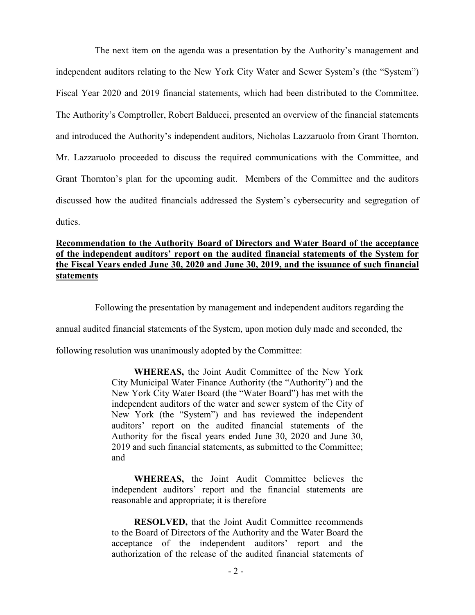The next item on the agenda was a presentation by the Authority's management and independent auditors relating to the New York City Water and Sewer System's (the "System") Fiscal Year 2020 and 2019 financial statements, which had been distributed to the Committee. The Authority's Comptroller, Robert Balducci, presented an overview of the financial statements and introduced the Authority's independent auditors, Nicholas Lazzaruolo from Grant Thornton. Mr. Lazzaruolo proceeded to discuss the required communications with the Committee, and Grant Thornton's plan for the upcoming audit. Members of the Committee and the auditors discussed how the audited financials addressed the System's cybersecurity and segregation of duties.

## **Recommendation to the Authority Board of Directors and Water Board of the acceptance of the independent auditors' report on the audited financial statements of the System for the Fiscal Years ended June 30, 2020 and June 30, 2019, and the issuance of such financial statements**

Following the presentation by management and independent auditors regarding the

annual audited financial statements of the System, upon motion duly made and seconded, the

following resolution was unanimously adopted by the Committee:

**WHEREAS,** the Joint Audit Committee of the New York City Municipal Water Finance Authority (the "Authority") and the New York City Water Board (the "Water Board") has met with the independent auditors of the water and sewer system of the City of New York (the "System") and has reviewed the independent auditors' report on the audited financial statements of the Authority for the fiscal years ended June 30, 2020 and June 30, 2019 and such financial statements, as submitted to the Committee; and

**WHEREAS,** the Joint Audit Committee believes the independent auditors' report and the financial statements are reasonable and appropriate; it is therefore

**RESOLVED,** that the Joint Audit Committee recommends to the Board of Directors of the Authority and the Water Board the acceptance of the independent auditors' report and the authorization of the release of the audited financial statements of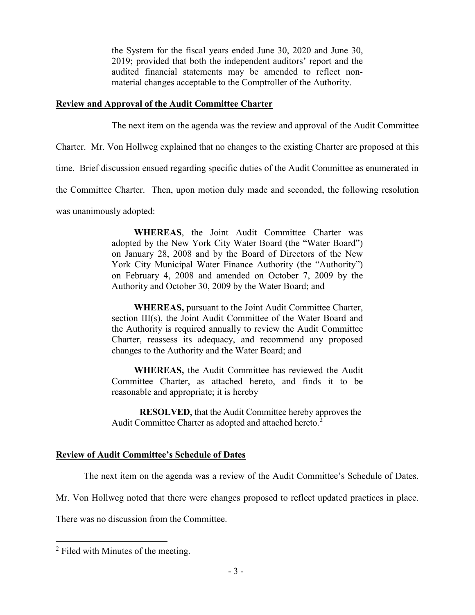the System for the fiscal years ended June 30, 2020 and June 30, 2019; provided that both the independent auditors' report and the audited financial statements may be amended to reflect nonmaterial changes acceptable to the Comptroller of the Authority.

#### **Review and Approval of the Audit Committee Charter**

The next item on the agenda was the review and approval of the Audit Committee

Charter. Mr. Von Hollweg explained that no changes to the existing Charter are proposed at this

time. Brief discussion ensued regarding specific duties of the Audit Committee as enumerated in

the Committee Charter. Then, upon motion duly made and seconded, the following resolution

was unanimously adopted:

**WHEREAS**, the Joint Audit Committee Charter was adopted by the New York City Water Board (the "Water Board") on January 28, 2008 and by the Board of Directors of the New York City Municipal Water Finance Authority (the "Authority") on February 4, 2008 and amended on October 7, 2009 by the Authority and October 30, 2009 by the Water Board; and

**WHEREAS,** pursuant to the Joint Audit Committee Charter, section III(s), the Joint Audit Committee of the Water Board and the Authority is required annually to review the Audit Committee Charter, reassess its adequacy, and recommend any proposed changes to the Authority and the Water Board; and

**WHEREAS,** the Audit Committee has reviewed the Audit Committee Charter, as attached hereto, and finds it to be reasonable and appropriate; it is hereby

**RESOLVED**, that the Audit Committee hereby approves the Audit Committee Charter as adopted and attached hereto.<sup>[2](#page-2-0)</sup>

## **Review of Audit Committee's Schedule of Dates**

The next item on the agenda was a review of the Audit Committee's Schedule of Dates.

Mr. Von Hollweg noted that there were changes proposed to reflect updated practices in place.

There was no discussion from the Committee.

<span id="page-2-0"></span><sup>&</sup>lt;sup>2</sup> Filed with Minutes of the meeting.